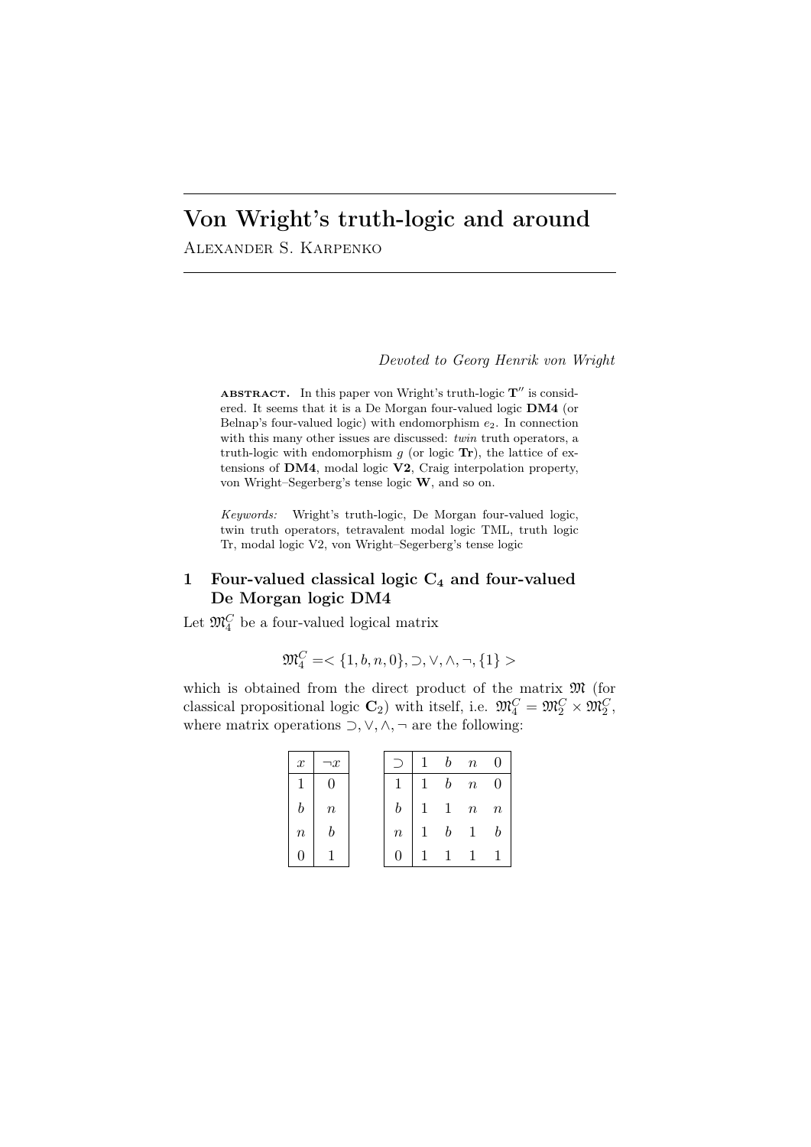# Von Wright's truth-logic and around

Alexander S. Karpenko

*Devoted to Georg Henrik von Wright*

ABSTRACT. In this paper von Wright's truth-logic  $T''$  is considered. It seems that it is a De Morgan four-valued logic **DM4** (or Belnap's four-valued logic) with endomorphism *e*2. In connection with this many other issues are discussed: *twin* truth operators, a truth-logic with endomorphism *g* (or logic **Tr**), the lattice of extensions of **DM4**, modal logic **V2**, Craig interpolation property, von Wright–Segerberg's tense logic **W**, and so on.

*Keywords:* Wright's truth-logic, De Morgan four-valued logic, twin truth operators, tetravalent modal logic TML, truth logic Tr, modal logic V2, von Wright–Segerberg's tense logic

## 1 Four-valued classical logic **C<sup>4</sup>** and four-valued De Morgan logic DM4

Let  $\mathfrak{M}_4^C$  be a four-valued logical matrix

$$
\mathfrak{M}^C_4=<\{1,b,n,0\},\supset,\vee,\wedge,\neg,\{1\}>
$$

which is obtained from the direct product of the matrix  $\mathfrak{M}$  (for classical propositional logic  $\mathbb{C}_2$ ) with itself, i.e.  $\mathfrak{M}_4^C = \mathfrak{M}_2^C \times \mathfrak{M}_2^C$ , where matrix operations *⊃, ∨, ∧, ¬* are the following:

| $\boldsymbol{x}$ | $\boldsymbol{x}$ |        |              |   | $b$ n               | $\overline{0}$   |
|------------------|------------------|--------|--------------|---|---------------------|------------------|
| 1                | 0                | 1      | $\mathbf{1}$ |   | $b$ $n$ 0           |                  |
|                  | $\it{n}$         | b      |              |   | $1 \quad n \quad n$ |                  |
| $\it n$          |                  | $\, n$ | 1            | b |                     | $\boldsymbol{b}$ |
|                  |                  |        |              |   |                     |                  |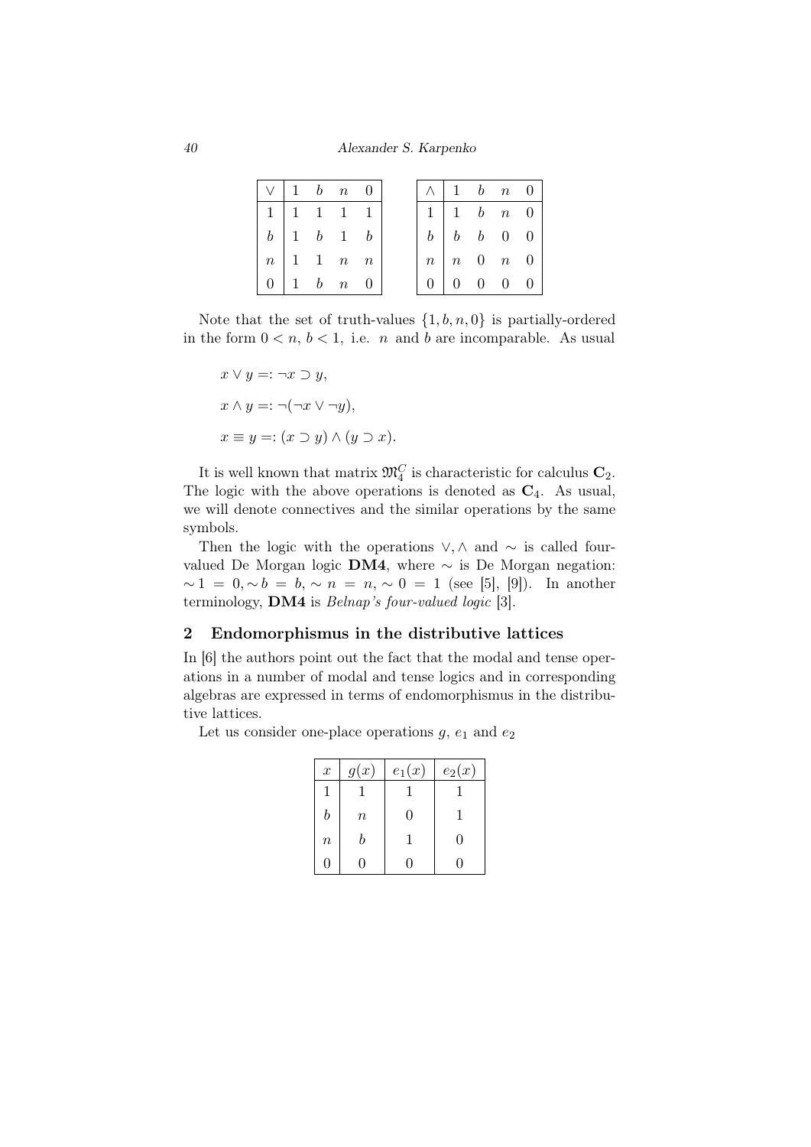*40 Alexander S. Karpenko*

|    |  | $\vee$ 1 b n 0                                  |  |
|----|--|-------------------------------------------------|--|
|    |  | $1 \mid 1 \quad 1 \quad 1 \quad 1$              |  |
|    |  | $b \begin{pmatrix} 1 & b & 1 & b \end{pmatrix}$ |  |
|    |  | $n \mid 1 \quad 1 \quad n \quad n$              |  |
| 0. |  | $1\quad b\quad n\quad 0$                        |  |

Note that the set of truth-values *{*1*, b, n,* 0*}* is partially-ordered in the form  $0 < n, b < 1$ , i.e. *n* and *b* are incomparable. As usual

$$
x \lor y =: \neg x \supset y,
$$
  
\n
$$
x \land y =: \neg(\neg x \lor \neg y),
$$
  
\n
$$
x \equiv y =: (x \supset y) \land (y \supset x).
$$

It is well known that matrix  $\mathfrak{M}_4^C$  is characteristic for calculus  $\mathbf{C}_2$ . The logic with the above operations is denoted as **C**4. As usual, we will denote connectives and the similar operations by the same symbols.

Then the logic with the operations *∨, ∧* and *∼* is called fourvalued De Morgan logic **DM4**, where *∼* is De Morgan negation: *∼* 1 = 0*, ∼ b* = *b, ∼ n* = *n, ∼* 0 = 1 (see [5], [9]). In another terminology, **DM4** is *Belnap's four-valued logic* [3].

## 2 Endomorphismus in the distributive lattices

In [6] the authors point out the fact that the modal and tense operations in a number of modal and tense logics and in corresponding algebras are expressed in terms of endomorphismus in the distributive lattices.

Let us consider one-place operations  $g$ ,  $e_1$  and  $e_2$ 

| $\boldsymbol{x}$ | g(x)    | $e_1(x)$ | $e_2(x)$ |
|------------------|---------|----------|----------|
|                  |         |          |          |
| b                | $\it n$ | 0        |          |
| $\, n$           | h       |          | 0        |
| 0                |         |          |          |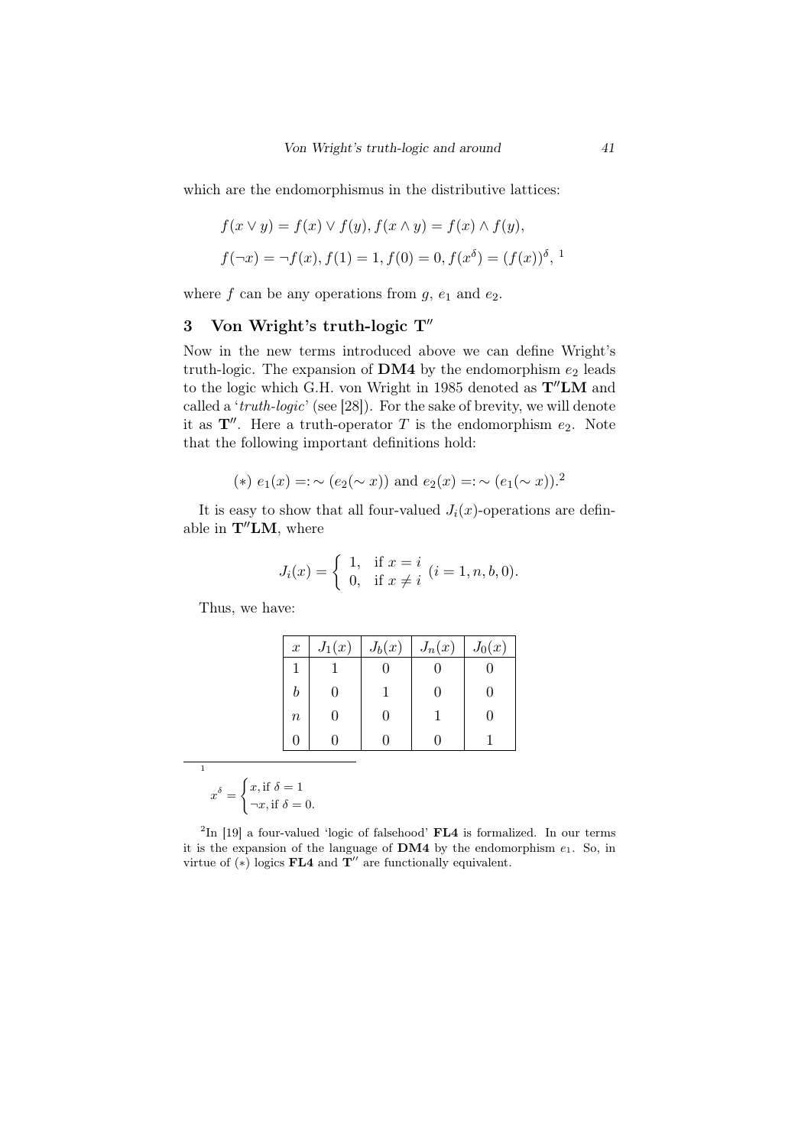which are the endomorphismus in the distributive lattices:

$$
f(x \lor y) = f(x) \lor f(y), f(x \land y) = f(x) \land f(y),
$$
  

$$
f(\neg x) = \neg f(x), f(1) = 1, f(0) = 0, f(x^{\delta}) = (f(x))^{\delta},
$$
<sup>1</sup>

where  $f$  can be any operations from  $g$ ,  $e_1$  and  $e_2$ .

## 3 Von Wright's truth-logic T*′′*

Now in the new terms introduced above we can define Wright's truth-logic. The expansion of  $\text{DM4}$  by the endomorphism  $e_2$  leads to the logic which G.H. von Wright in 1985 denoted as **T***′′***LM** and called a '*truth-logic*' (see [28]). For the sake of brevity, we will denote it as  $\mathbf{T}''$ . Here a truth-operator *T* is the endomorphism  $e_2$ . Note that the following important definitions hold:

(\*) 
$$
e_1(x) =: \sim (e_2(\sim x))
$$
 and  $e_2(x) =: \sim (e_1(\sim x))$ .<sup>2</sup>

It is easy to show that all four-valued  $J_i(x)$ -operations are definable in **T***′′***LM**, where

$$
J_i(x) = \begin{cases} 1, & \text{if } x = i \\ 0, & \text{if } x \neq i \end{cases} (i = 1, n, b, 0).
$$

Thus, we have:

| $\boldsymbol{x}$ | $J_1(x)$ | $J_b(x)$ | $J_n(x)$      | $J_0(x)$     |
|------------------|----------|----------|---------------|--------------|
| 1                |          |          |               |              |
| h                |          |          | $\mathcal{O}$ | $\mathbf{0}$ |
| $\boldsymbol{n}$ |          | 0        |               | $\mathbf{0}$ |
|                  |          |          |               |              |

1  $x^{\delta} =$  $\int x$ , if  $\delta = 1$  $\neg x$ , if  $\delta = 0$ .

 ${}^{2}\text{In}$  [19] a four-valued 'logic of falsehood' **FL4** is formalized. In our terms it is the expansion of the language of  $DM4$  by the endomorphism  $e_1$ . So, in virtue of (*∗*) logics FL4 and **T** *′′* are functionally equivalent.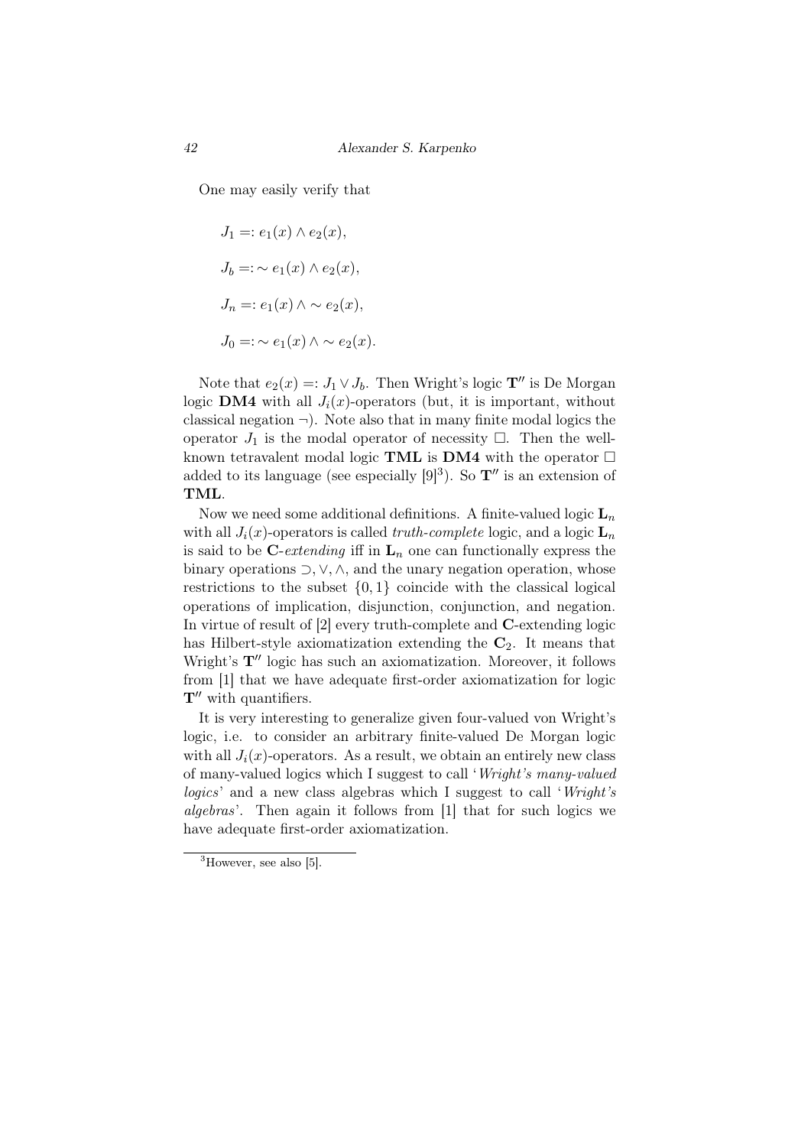One may easily verify that

$$
J_1 =: e_1(x) \wedge e_2(x),
$$
  
\n
$$
J_b =: \sim e_1(x) \wedge e_2(x),
$$
  
\n
$$
J_n =: e_1(x) \wedge \sim e_2(x),
$$
  
\n
$$
J_0 =: \sim e_1(x) \wedge \sim e_2(x).
$$

Note that  $e_2(x) =: J_1 \vee J_b$ . Then Wright's logic  $\mathbf{T}''$  is De Morgan logic **DM4** with all  $J_i(x)$ -operators (but, it is important, without classical negation  $\neg$ ). Note also that in many finite modal logics the operator  $J_1$  is the modal operator of necessity  $\Box$ . Then the wellknown tetravalent modal logic TML is DM4 with the operator  $\Box$ added to its language (see especially  $[9]^3$ ). So  $\mathbf{T}''$  is an extension of TML.

Now we need some additional definitions. A finite-valued logic  $L_n$ with all  $J_i(x)$ -operators is called *truth-complete* logic, and a logic  $\mathbf{L}_n$ is said to be C-*extending* iff in  $L_n$  one can functionally express the binary operations *⊃, ∨, ∧*, and the unary negation operation, whose restrictions to the subset  $\{0,1\}$  coincide with the classical logical operations of implication, disjunction, conjunction, and negation. In virtue of result of [2] every truth-complete and C-extending logic has Hilbert-style axiomatization extending the **C**2. It means that Wright's **T***′′* logic has such an axiomatization. Moreover, it follows from [1] that we have adequate first-order axiomatization for logic **T***′′* with quantifiers.

It is very interesting to generalize given four-valued von Wright's logic, i.e. to consider an arbitrary finite-valued De Morgan logic with all  $J_i(x)$ -operators. As a result, we obtain an entirely new class of many-valued logics which I suggest to call '*Wright's many-valued logics*' and a new class algebras which I suggest to call '*Wright's algebras*'. Then again it follows from [1] that for such logics we have adequate first-order axiomatization.

 ${}^{3}$ However, see also [5].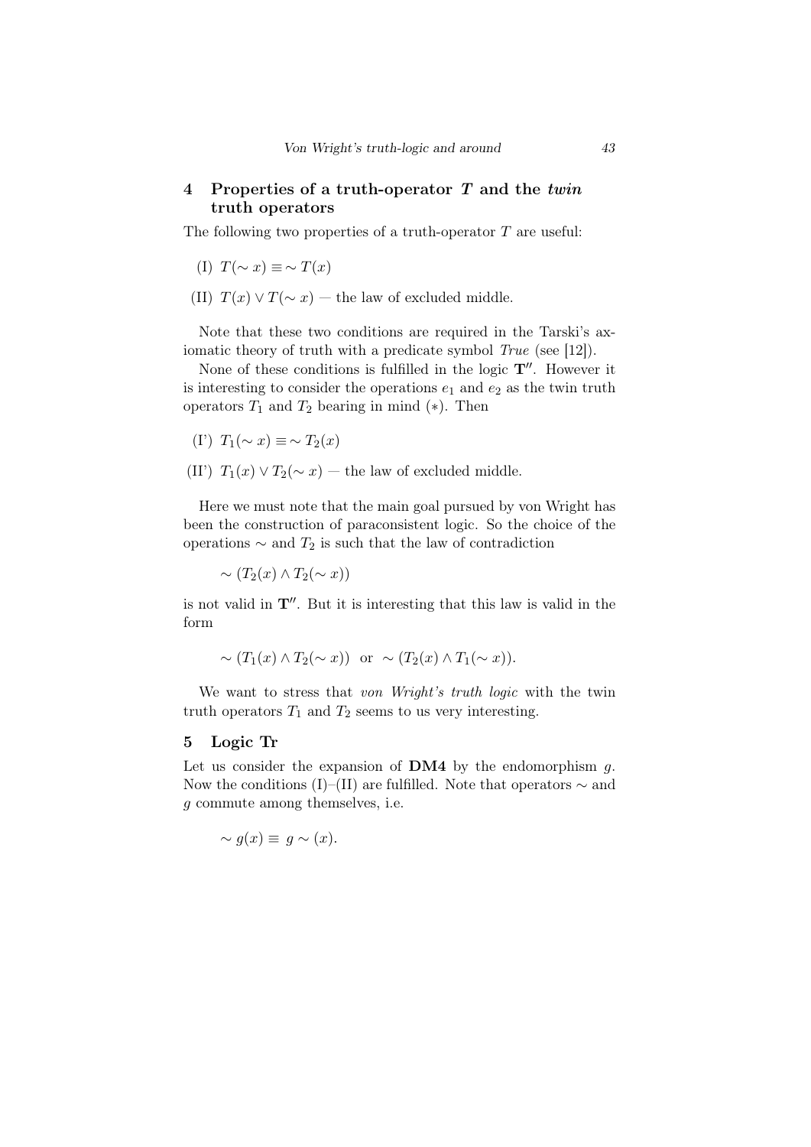## 4 Properties of a truth-operator *T* and the *twin* truth operators

The following two properties of a truth-operator *T* are useful:

- (I)  $T(\sim x) \equiv \sim T(x)$
- (II)  $T(x) \vee T(\sim x)$  the law of excluded middle.

Note that these two conditions are required in the Tarski's axiomatic theory of truth with a predicate symbol *True* (see [12]).

None of these conditions is fulfilled in the logic **T***′′*. However it is interesting to consider the operations  $e_1$  and  $e_2$  as the twin truth operators  $T_1$  and  $T_2$  bearing in mind  $(*)$ . Then

- (I<sup>'</sup>)  $T_1$ ( $\sim$  *x*)  $\equiv$   $\sim$   $T_2$ (*x*)
- (II')  $T_1(x) \vee T_2(\sim x)$  the law of excluded middle.

Here we must note that the main goal pursued by von Wright has been the construction of paraconsistent logic. So the choice of the operations *∼* and *T*<sup>2</sup> is such that the law of contradiction

 $\sim$  (*T*<sub>2</sub>(*x*) ∧ *T*<sub>2</sub>( $\sim$  *x*))

is not valid in **T***′′*. But it is interesting that this law is valid in the form

$$
\sim (T_1(x) \wedge T_2(\sim x))
$$
 or  $\sim (T_2(x) \wedge T_1(\sim x)).$ 

We want to stress that *von Wright's truth logic* with the twin truth operators  $T_1$  and  $T_2$  seems to us very interesting.

#### 5 Logic Tr

Let us consider the expansion of DM4 by the endomorphism *g*. Now the conditions (I)–(II) are fulfilled. Note that operators *∼* and *g* commute among themselves, i.e.

$$
\sim g(x) \equiv g \sim (x).
$$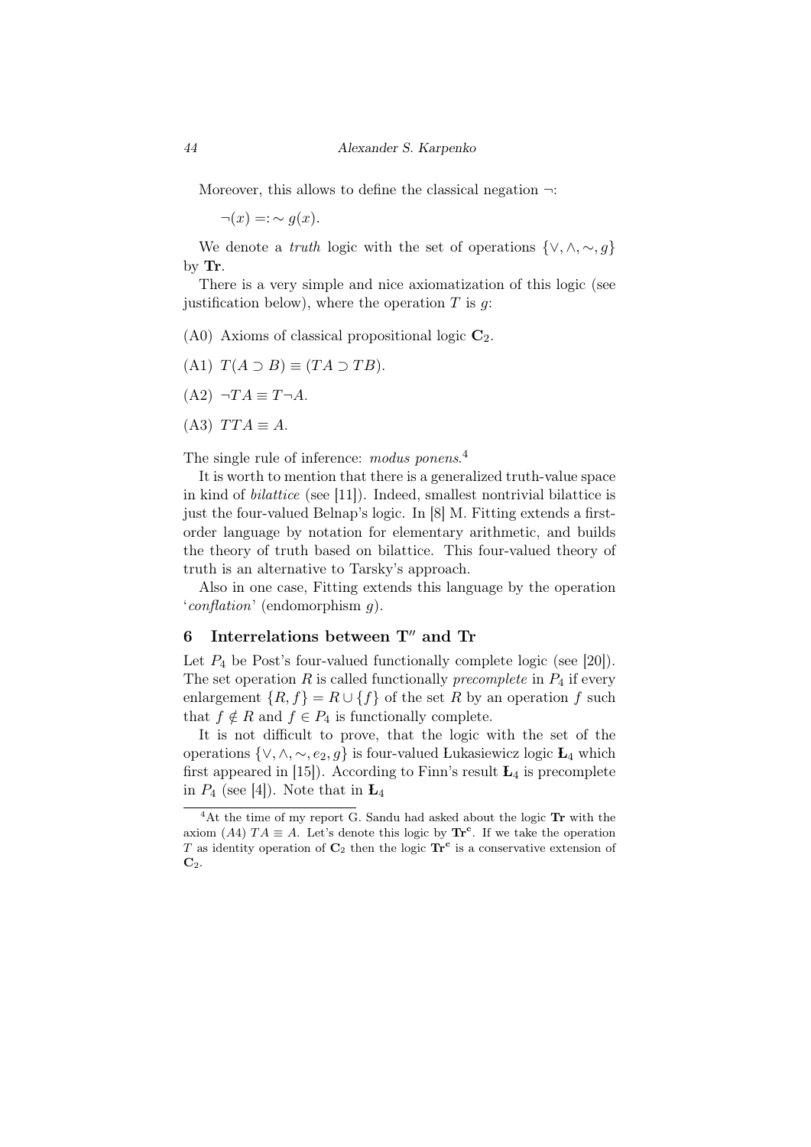Moreover, this allows to define the classical negation *¬*:

 $\neg(x)$  =:  $\sim$  *g*(*x*).

We denote a *truth* logic with the set of operations  $\{\vee, \wedge, \sim, g\}$ by Tr.

There is a very simple and nice axiomatization of this logic (see justification below), where the operation *T* is *g*:

(A0) Axioms of classical propositional logic **C**2.

- $(T(A \supset B) \equiv (TA \supset TB)$ .
- $(A2)$  *¬TA*  $\equiv$  *T¬A*.
- $(A3)$  *TTA*  $\equiv$  *A*.

The single rule of inference: *modus ponens*. 4

It is worth to mention that there is a generalized truth-value space in kind of *bilattice* (see [11]). Indeed, smallest nontrivial bilattice is just the four-valued Belnap's logic. In [8] M. Fitting extends a firstorder language by notation for elementary arithmetic, and builds the theory of truth based on bilattice. This four-valued theory of truth is an alternative to Tarsky's approach.

Also in one case, Fitting extends this language by the operation '*conflation*' (endomorphism *g*).

## 6 Interrelations between **T***′′* and Tr

Let  $P_4$  be Post's four-valued functionally complete logic (see [20]). The set operation  $R$  is called functionally *precomplete* in  $P_4$  if every enlargement  ${R, f} = R \cup {f}$  of the set *R* by an operation *f* such that  $f \notin R$  and  $f \in P_4$  is functionally complete.

It is not difficult to prove, that the logic with the set of the operations  $\{\vee, \wedge, \sim, e_2, g\}$  is four-valued Lukasiewicz logic  $L_4$  which first appeared in [15]). According to Finn's result  $L_4$  is precomplete in  $P_4$  (see [4]). Note that in  $L_4$ 

 $4$ At the time of my report G. Sandu had asked about the logic Tr with the axiom (*A*4)  $TA \equiv A$ . Let's denote this logic by  $\text{Tr}^c$ . If we take the operation *T* as identity operation of **C**<sup>2</sup> then the logic **Tr<sup>c</sup>** is a conservative extension of **C**2.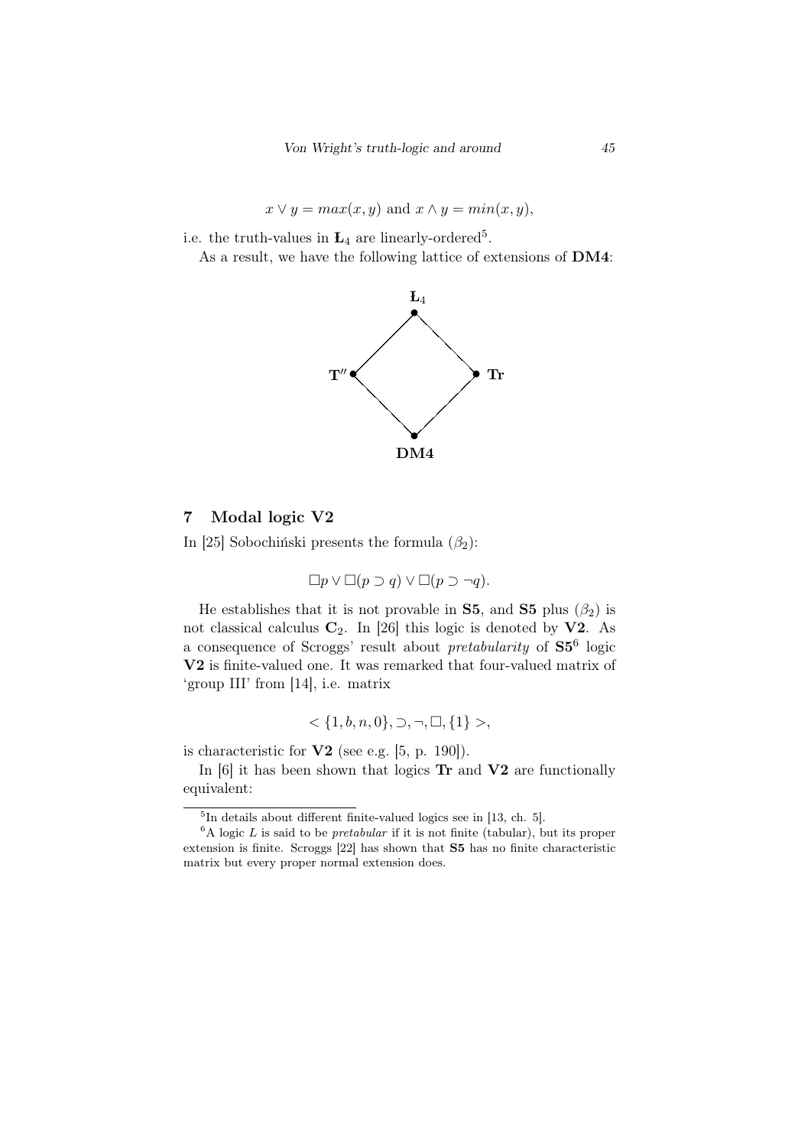$$
x \lor y = max(x, y)
$$
 and  $x \land y = min(x, y)$ ,

i.e. the truth-values in  $L_4$  are linearly-ordered<sup>5</sup>.

As a result, we have the following lattice of extensions of DM4:



### 7 Modal logic V2

In [25] Sobochinski presents the formula  $(\beta_2)$ :

$$
\Box p \vee \Box (p \supset q) \vee \Box (p \supset \neg q).
$$

He establishes that it is not provable in **S5**, and **S5** plus  $(\beta_2)$  is not classical calculus  $C_2$ . In [26] this logic is denoted by **V2**. As a consequence of Scroggs' result about *pretabularity* of S5<sup>6</sup> logic V2 is finite-valued one. It was remarked that four-valued matrix of 'group III' from [14], i.e. matrix

$$
\langle \{1, b, n, 0\}, \supset, \neg, \Box, \{1\} \rangle,
$$

is characteristic for  $V2$  (see e.g. [5, p. 190]).

In  $[6]$  it has been shown that logics  $\text{Tr}$  and  $\text{V2}$  are functionally equivalent:

<sup>5</sup> In details about different finite-valued logics see in [13, ch. 5].

 ${}^6A$  logic *L* is said to be *pretabular* if it is not finite (tabular), but its proper extension is finite. Scroggs [22] has shown that S5 has no finite characteristic matrix but every proper normal extension does.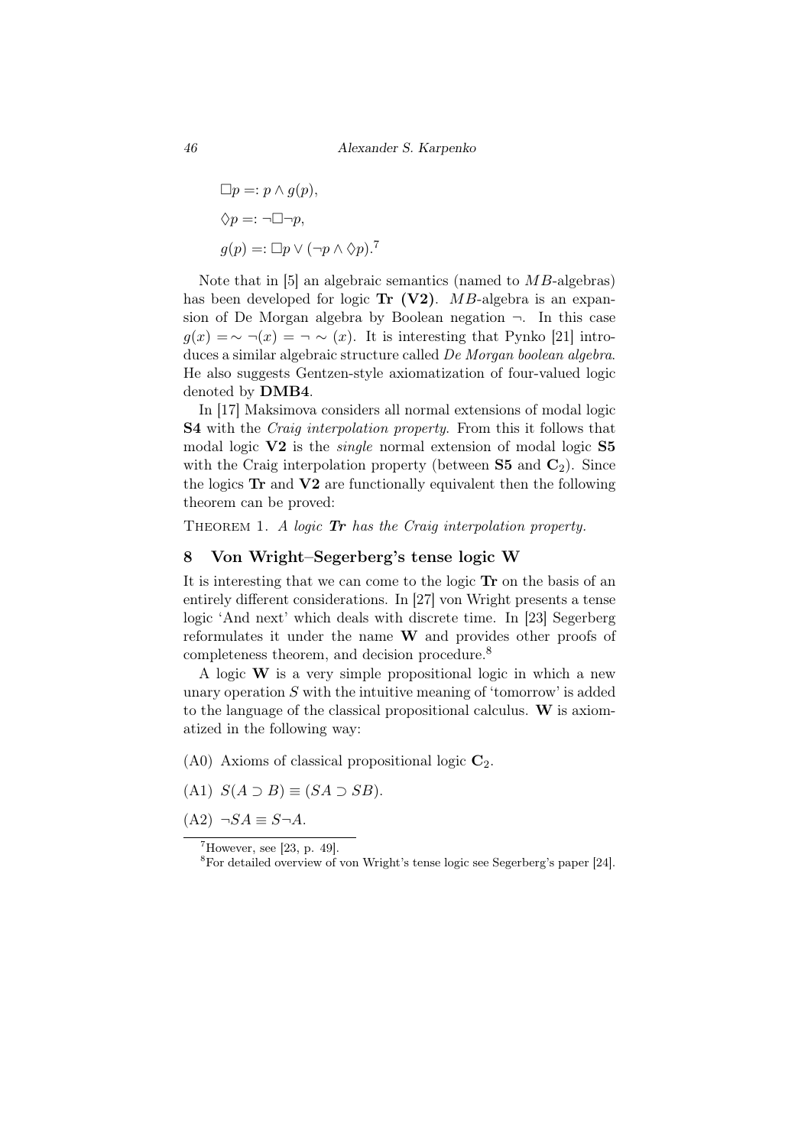$$
\Box p =: p \land g(p),
$$
  
\n
$$
\Diamond p =: \neg \Box \neg p,
$$
  
\n
$$
g(p) =: \Box p \lor (\neg p \land \Diamond p).
$$
<sup>7</sup>

Note that in [5] an algebraic semantics (named to *MB*-algebras) has been developed for logic **Tr** (V2). *MB*-algebra is an expansion of De Morgan algebra by Boolean negation *¬*. In this case  $g(x) = ∼ ∎(x) = ∩ (x)$ . It is interesting that Pynko [21] introduces a similar algebraic structure called *De Morgan boolean algebra*. He also suggests Gentzen-style axiomatization of four-valued logic denoted by DMB4.

In [17] Maksimova considers all normal extensions of modal logic S4 with the *Craig interpolation property*. From this it follows that modal logic V2 is the *single* normal extension of modal logic S5 with the Craig interpolation property (between  $S5$  and  $C_2$ ). Since the logics Tr and V2 are functionally equivalent then the following theorem can be proved:

Theorem 1. *A logic Tr has the Craig interpolation property.*

## 8 Von Wright–Segerberg's tense logic W

It is interesting that we can come to the logic Tr on the basis of an entirely different considerations. In [27] von Wright presents a tense logic 'And next' which deals with discrete time. In [23] Segerberg reformulates it under the name W and provides other proofs of completeness theorem, and decision procedure.<sup>8</sup>

A logic  $W$  is a very simple propositional logic in which a new unary operation *S* with the intuitive meaning of 'tomorrow' is added to the language of the classical propositional calculus.  $W$  is axiomatized in the following way:

- (A0) Axioms of classical propositional logic **C**2.
- $(A1)$   $S(A \supset B) \equiv (SA \supset SB).$
- $(A2) \neg SA ≡ S\neg A$ .

 $7$ However, see [23, p. 49].

<sup>8</sup>For detailed overview of von Wright's tense logic see Segerberg's paper [24].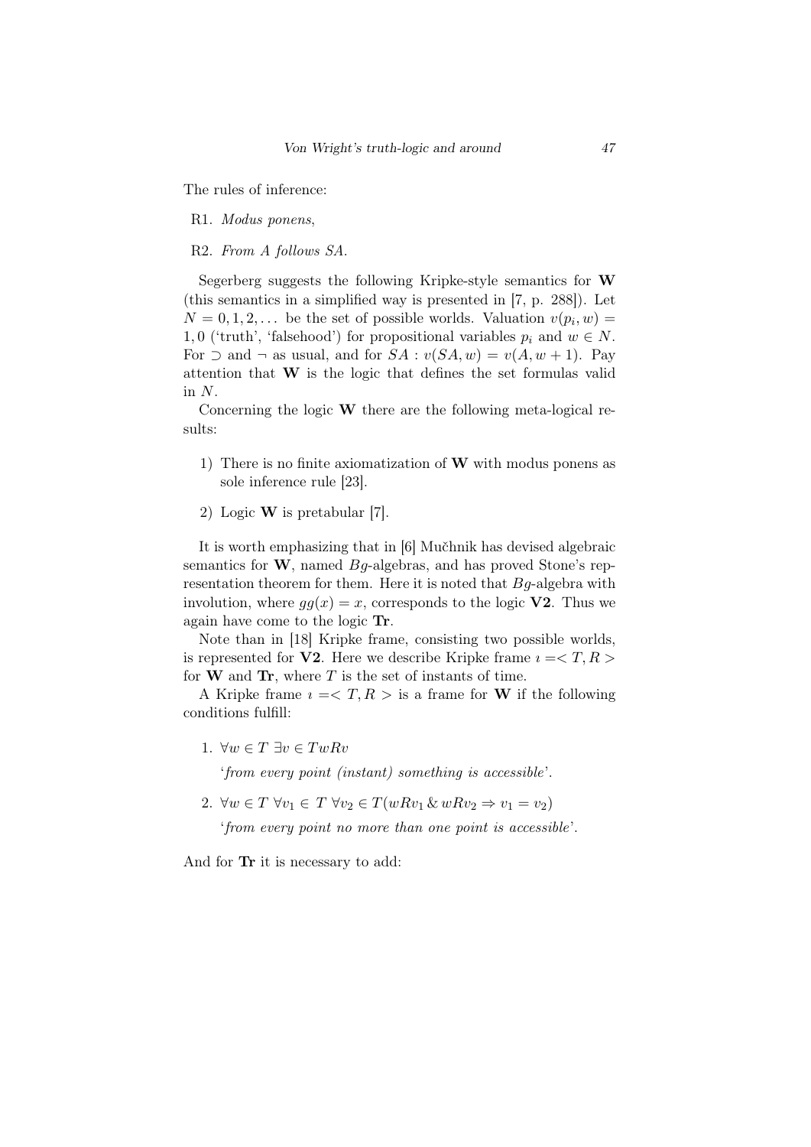The rules of inference:

- R1. *Modus ponens*,
- R2. *From A follows SA*.

Segerberg suggests the following Kripke-style semantics for W (this semantics in a simplified way is presented in [7, p. 288]). Let  $N = 0, 1, 2, \ldots$  be the set of possible worlds. Valuation  $v(p_i, w) =$ 1,0 ('truth', 'falsehood') for propositional variables  $p_i$  and  $w \in N$ . For  $\supset$  and  $\neg$  as usual, and for *SA* :  $v(SA, w) = v(A, w + 1)$ . Pay attention that W is the logic that defines the set formulas valid in *N*.

Concerning the logic W there are the following meta-logical results:

- 1) There is no finite axiomatization of W with modus ponens as sole inference rule [23].
- 2) Logic W is pretabular [7].

It is worth emphasizing that in [6] Mučhnik has devised algebraic semantics for W, named *Bg*-algebras, and has proved Stone's representation theorem for them. Here it is noted that *Bg*-algebra with involution, where  $gg(x) = x$ , corresponds to the logic **V2**. Thus we again have come to the logic Tr.

Note than in [18] Kripke frame, consisting two possible worlds, is represented for **V2**. Here we describe Kripke frame  $i = \langle T, R \rangle$ for  $W$  and  $Tr$ , where  $T$  is the set of instants of time.

A Kripke frame  $i = T, R >$  is a frame for W if the following conditions fulfill:

1. *∀w ∈ T ∃v ∈ T wRv*

'*from every point (instant) something is accessible*'.

2.  $\forall w \in T \ \forall v_1 \in T \ \forall v_2 \in T(wRv_1 \& wRv_2 \Rightarrow v_1 = v_2)$ 

'*from every point no more than one point is accessible*'.

And for Tr it is necessary to add: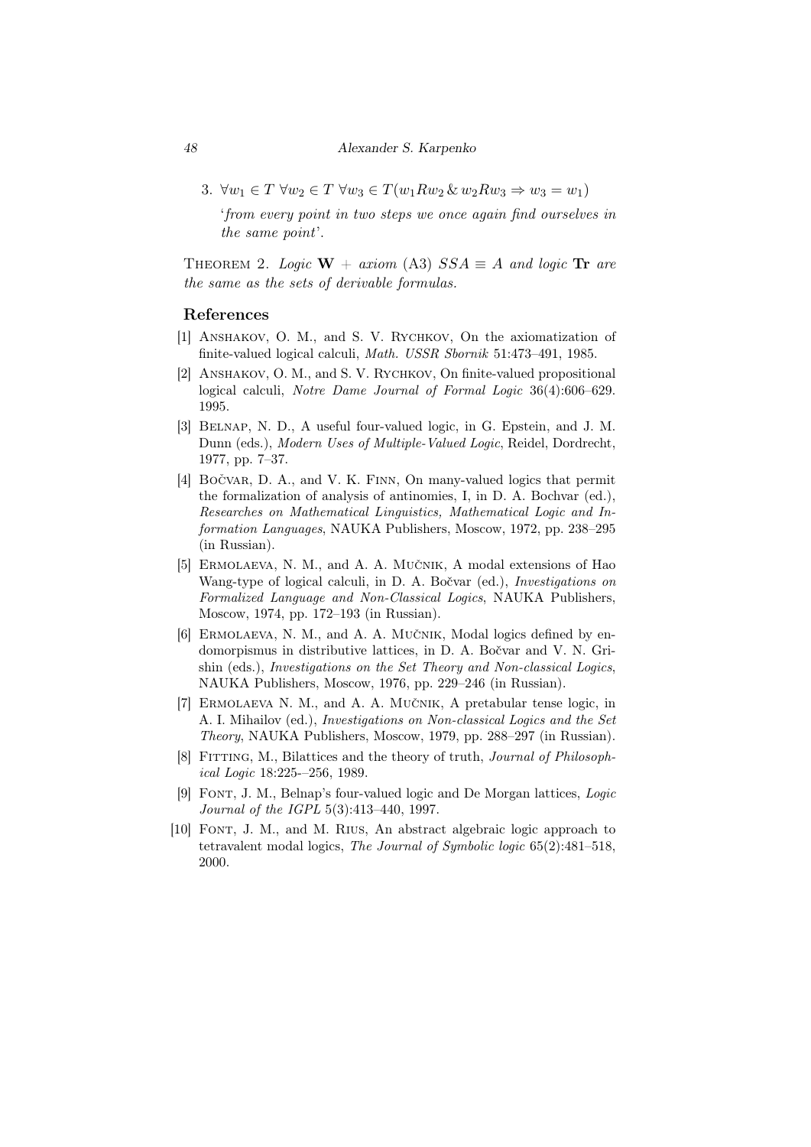3.  $\forall w_1 \in T \ \forall w_2 \in T \ \forall w_3 \in T(w_1 R w_2 \ \& \ w_2 R w_3 \Rightarrow w_3 = w_1)$ 

'*from every point in two steps we once again find ourselves in the same point*'.

THEOREM 2. *Logic*  $W + axiom (A3)$   $SSA \equiv A$  *and logic* **Tr** *are the same as the sets of derivable formulas.*

#### References

- [1] ANSHAKOV, O. M., and S. V. RYCHKOV, On the axiomatization of finite-valued logical calculi, *Math. USSR Sbornik* 51:473–491, 1985.
- [2] ANSHAKOV, O. M., and S. V. RYCHKOV, On finite-valued propositional logical calculi, *Notre Dame Journal of Formal Logic* 36(4):606–629. 1995.
- [3] Belnap, N. D., A useful four-valued logic, in G. Epstein, and J. M. Dunn (eds.), *Modern Uses of Multiple-Valued Logic*, Reidel, Dordrecht, 1977, pp. 7–37.
- [4] BOČVAR, D. A., and V. K. FINN, On many-valued logics that permit the formalization of analysis of antinomies, I, in D. A. Bochvar (ed.), *Researches on Mathematical Linguistics, Mathematical Logic and Information Languages*, NAUKA Publishers, Moscow, 1972, pp. 238–295 (in Russian).
- [5] ERMOLAEVA, N. M., and A. A. MUČNIK, A modal extensions of Hao Wang-type of logical calculi, in D. A. Bočvar (ed.), *Investigations on Formalized Language and Non-Classical Logics*, NAUKA Publishers, Moscow, 1974, pp. 172–193 (in Russian).
- [6] ERMOLAEVA, N. M., and A. A. MUČNIK, Modal logics defined by endomorpismus in distributive lattices, in D. A. Bočvar and V. N. Grishin (eds.), *Investigations on the Set Theory and Non-classical Logics*, NAUKA Publishers, Moscow, 1976, pp. 229–246 (in Russian).
- [7] ERMOLAEVA N. M., and A. A. MUČNIK, A pretabular tense logic, in A. I. Mihailov (ed.), *Investigations on Non-classical Logics and the Set Theory*, NAUKA Publishers, Moscow, 1979, pp. 288–297 (in Russian).
- [8] Fitting, M., Bilattices and the theory of truth, *Journal of Philosophical Logic* 18:225-–256, 1989.
- [9] Font, J. M., Belnap's four-valued logic and De Morgan lattices, *Logic Journal of the IGPL* 5(3):413–440, 1997.
- [10] Font, J. M., and M. Rius, An abstract algebraic logic approach to tetravalent modal logics, *The Journal of Symbolic logic* 65(2):481–518, 2000.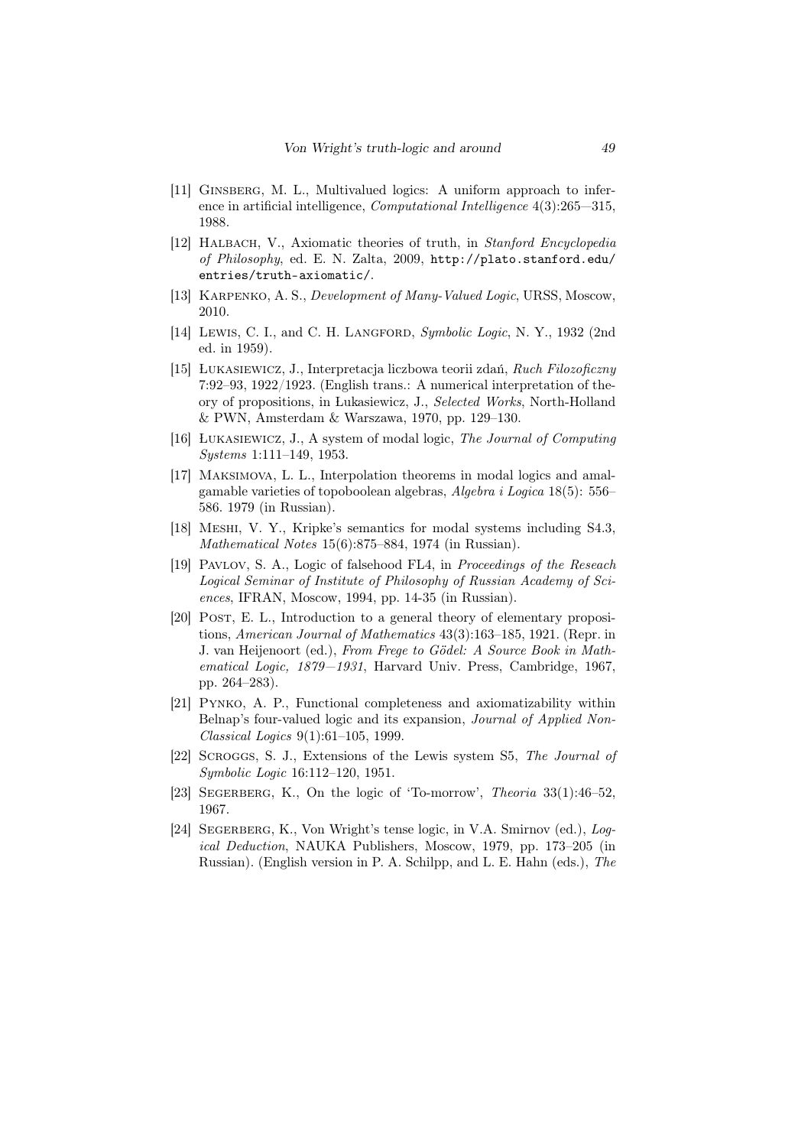- [11] Ginsberg, M. L., Multivalued logics: A uniform approach to inference in artificial intelligence, *Computational Intelligence* 4(3):265—315, 1988.
- [12] Halbach, V., Axiomatic theories of truth, in *Stanford Encyclopedia of Philosophy*, ed. E. N. Zalta, 2009, http://plato.stanford.edu/ entries/truth-axiomatic/.
- [13] Karpenko, A. S., *Development of Many-Valued Logic*, URSS, Moscow, 2010.
- [14] Lewis, C. I., and C. H. Langford, *Symbolic Logic*, N. Y., 1932 (2nd ed. in 1959).
- [15] Lukasiewicz, J., Interpretacja liczbowa teorii zda´n, *Ruch Filozoficzny* 7:92–93, 1922/1923. (English trans.: A numerical interpretation of theory of propositions, in Lukasiewicz, J., *Selected Works*, North-Holland & PWN, Amsterdam & Warszawa, 1970, pp. 129–130.
- [16] Lukasiewicz, J., A system of modal logic, *The Journal of Computing Systems* 1:111–149, 1953.
- [17] Maksimova, L. L., Interpolation theorems in modal logics and amalgamable varieties of topoboolean algebras, *Algebra i Logica* 18(5): 556– 586. 1979 (in Russian).
- [18] Meshi, V. Y., Kripke's semantics for modal systems including S4.3, *Mathematical Notes* 15(6):875–884, 1974 (in Russian).
- [19] Pavlov, S. A., Logic of falsehood FL4, in *Proceedings of the Reseach Logical Seminar of Institute of Philosophy of Russian Academy of Sciences*, IFRAN, Moscow, 1994, pp. 14-35 (in Russian).
- [20] POST, E. L., Introduction to a general theory of elementary propositions, *American Journal of Mathematics* 43(3):163–185, 1921. (Repr. in J. van Heijenoort (ed.), *From Frege to Gödel: A Source Book in Mathematical Logic, 1879—1931*, Harvard Univ. Press, Cambridge, 1967, pp. 264–283).
- [21] Pynko, A. P., Functional completeness and axiomatizability within Belnap's four-valued logic and its expansion, *Journal of Applied Non-Classical Logics* 9(1):61–105, 1999.
- [22] Scroggs, S. J., Extensions of the Lewis system S5, *The Journal of Symbolic Logic* 16:112–120, 1951.
- [23] SEGERBERG, K., On the logic of 'To-morrow', *Theoria* 33(1):46–52, 1967.
- [24] Segerberg, K., Von Wright's tense logic, in V.A. Smirnov (ed.), *Logical Deduction*, NAUKA Publishers, Moscow, 1979, pp. 173–205 (in Russian). (English version in P. A. Schilpp, and L. E. Hahn (eds.), *The*